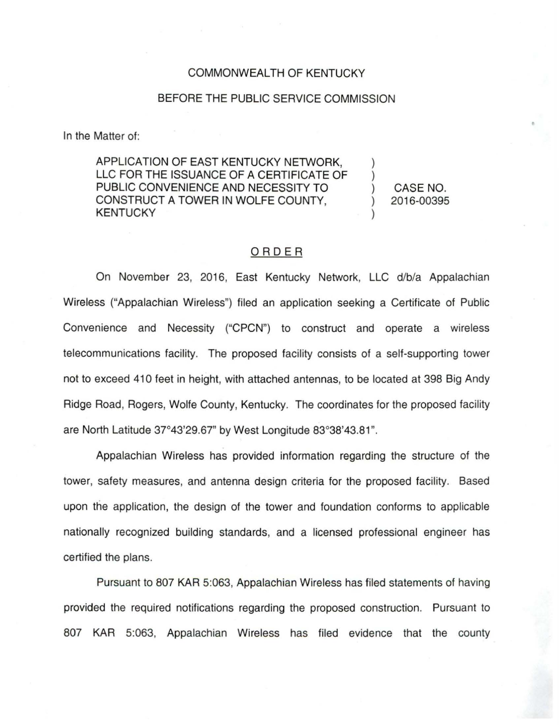## COMMONWEALTH OF KENTUCKY

## BEFORE THE PUBLIC SERVICE COMMISSION

In the Matter of:

APPLICATION OF EAST KENTUCKY NETWORK, LLC FOR THE ISSUANCE OF A CERTIFICATE OF PUBLIC CONVENIENCE AND NECESSITY TO CONSTRUCT A TOWER IN WOLFE COUNTY, KENTUCKY

) CASE NO. ) 2016-00395

) )

)

## ORDER

On November 23, 2016, East Kentucky Network, LLC d/b/a Appalachian Wireless ("Appalachian Wireless") filed an application seeking a Certificate of Public Convenience and Necessity ("CPCN") to construct and operate a wireless telecommunications facility. The proposed facility consists of a self-supporting tower not to exceed 410 feet in height, with attached antennas, to be located at 398 Big Andy Ridge Road, Rogers, Wolfe County, Kentucky. The coordinates for the proposed facility are North Latitude 37°43'29.67" by West Longitude 83°38'43.81".

Appalachian Wireless has provided information regarding the structure of the tower, safety measures, and antenna design criteria for the proposed facility. Based upon the application, the design of the tower and foundation conforms to applicable nationally recognized building standards, and a licensed professional engineer has certified the plans.

Pursuant to 807 KAR 5:063, Appalachian Wireless has filed statements of having provided the required notifications regarding the proposed construction. Pursuant to 807 KAR 5:063, Appalachian Wireless has filed evidence that the county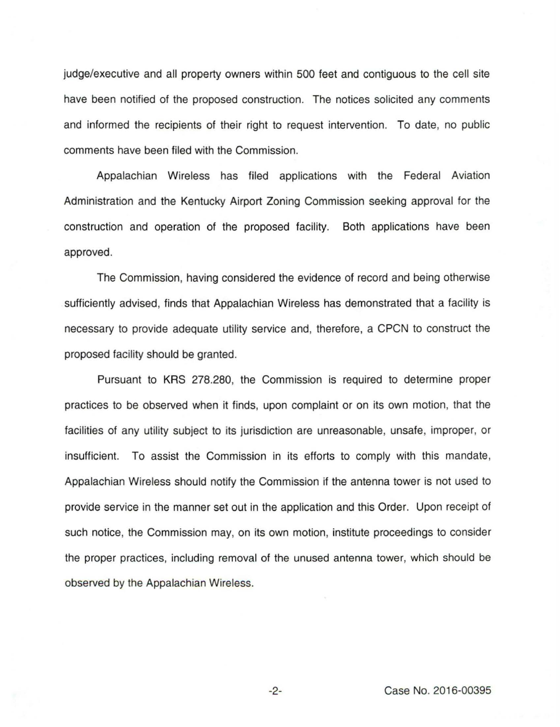judge/executive and all property owners within 500 feet and contiguous to the cell site have been notified of the proposed construction. The notices solicited any comments and informed the recipients of their right to request intervention. To date, no public comments have been filed with the Commission.

Appalachian Wireless has filed applications with the Federal Aviation Administration and the Kentucky Airport Zoning Commission seeking approval for the construction and operation of the proposed facility. Both applications have been approved.

The Commission, having considered the evidence of record and being otherwise sufficiently advised, finds that Appalachian Wireless has demonstrated that a facility is necessary to provide adequate utility service and, therefore, a CPCN to construct the proposed facility should be granted.

Pursuant to KRS 278.280, the Commission is required to determine proper practices to be observed when it finds, upon complaint or on its own motion, that the facilities of any utility subject to its jurisdiction are unreasonable, unsafe, improper, or insufficient. To assist the Commission in its efforts to comply with this mandate, Appalachian Wireless should notify the Commission if the antenna tower is not used to provide service in the manner set out in the application and this Order. Upon receipt of such notice, the Commission may, on its own motion, institute proceedings to consider the proper practices, including removal of the unused antenna tower, which should be observed by the Appalachian Wireless.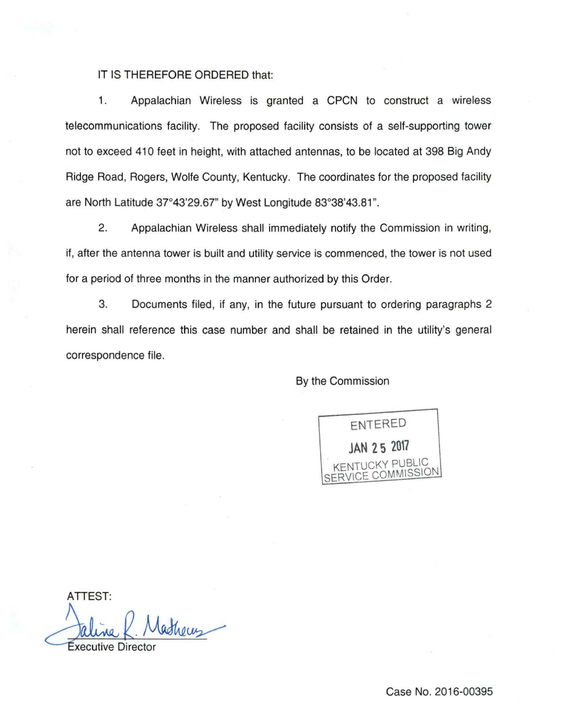## IT IS THEREFORE ORDERED that:

1. Appalachian Wireless is granted a CPCN to construct a wireless telecommunications facility. The proposed facility consists of a self-supporting tower not to exceed 410 feet in height, with attached antennas, to be located at 398 Big Andy Ridge Road, Rogers, Wolfe County, Kentucky. The coordinates for the proposed facility are North Latitude 37°43'29.67" by West Longitude 83°38'43.81".

2. Appalachian Wireless shall immediately notify the Commission in writing, if, after the antenna tower is built and utility service is commenced, the tower is not used for a period of three months in the manner authorized by this Order.

3. Documents filed, if any, in the future pursuant to ordering paragraphs 2 herein shall reference this case number and shall be retained in the utility's general correspondence file.

By the Commission

ENTERED **JAN 2 5 2017 ICKY PUBLIC** SERVICE COMMISSION

ATTEST: Faline R. Matheus